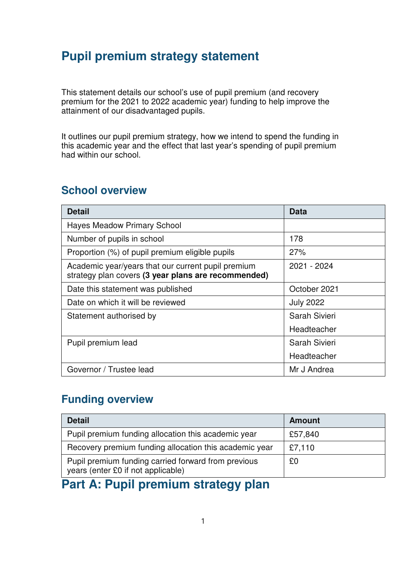# **Pupil premium strategy statement**

This statement details our school's use of pupil premium (and recovery premium for the 2021 to 2022 academic year) funding to help improve the attainment of our disadvantaged pupils.

It outlines our pupil premium strategy, how we intend to spend the funding in this academic year and the effect that last year's spending of pupil premium had within our school.

### **School overview**

| <b>Detail</b>                                                                                             | Data             |
|-----------------------------------------------------------------------------------------------------------|------------------|
| <b>Hayes Meadow Primary School</b>                                                                        |                  |
| Number of pupils in school                                                                                | 178              |
| Proportion (%) of pupil premium eligible pupils                                                           | 27%              |
| Academic year/years that our current pupil premium<br>strategy plan covers (3 year plans are recommended) | 2021 - 2024      |
| Date this statement was published                                                                         | October 2021     |
| Date on which it will be reviewed                                                                         | <b>July 2022</b> |
| Statement authorised by                                                                                   | Sarah Sivieri    |
|                                                                                                           | Headteacher      |
| Pupil premium lead                                                                                        | Sarah Sivieri    |
|                                                                                                           | Headteacher      |
| Governor / Trustee lead                                                                                   | Mr J Andrea      |

### **Funding overview**

| <b>Detail</b>                                                                             | <b>Amount</b> |
|-------------------------------------------------------------------------------------------|---------------|
| Pupil premium funding allocation this academic year                                       | £57,840       |
| Recovery premium funding allocation this academic year                                    | £7,110        |
| Pupil premium funding carried forward from previous<br>years (enter £0 if not applicable) | £0            |

# **Part A: Pupil premium strategy plan**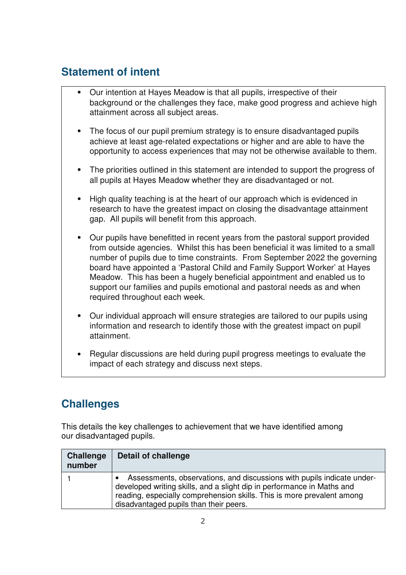### **Statement of intent**

- ⦁ Our intention at Hayes Meadow is that all pupils, irrespective of their background or the challenges they face, make good progress and achieve high attainment across all subject areas.
- ⦁ The focus of our pupil premium strategy is to ensure disadvantaged pupils achieve at least age-related expectations or higher and are able to have the opportunity to access experiences that may not be otherwise available to them.
- ⦁ The priorities outlined in this statement are intended to support the progress of all pupils at Hayes Meadow whether they are disadvantaged or not.
- ⦁ High quality teaching is at the heart of our approach which is evidenced in research to have the greatest impact on closing the disadvantage attainment gap. All pupils will benefit from this approach.
- ⦁ Our pupils have benefitted in recent years from the pastoral support provided from outside agencies. Whilst this has been beneficial it was limited to a small number of pupils due to time constraints. From September 2022 the governing board have appointed a 'Pastoral Child and Family Support Worker' at Hayes Meadow. This has been a hugely beneficial appointment and enabled us to support our families and pupils emotional and pastoral needs as and when required throughout each week.
- ⦁ Our individual approach will ensure strategies are tailored to our pupils using information and research to identify those with the greatest impact on pupil attainment.
- ⦁ Regular discussions are held during pupil progress meetings to evaluate the impact of each strategy and discuss next steps.

## **Challenges**

This details the key challenges to achievement that we have identified among our disadvantaged pupils.

| <b>Challenge</b><br>number | <b>Detail of challenge</b>                                                                                                                                                                                                                                           |
|----------------------------|----------------------------------------------------------------------------------------------------------------------------------------------------------------------------------------------------------------------------------------------------------------------|
|                            | Assessments, observations, and discussions with pupils indicate under-<br>developed writing skills, and a slight dip in performance in Maths and<br>reading, especially comprehension skills. This is more prevalent among<br>disadvantaged pupils than their peers. |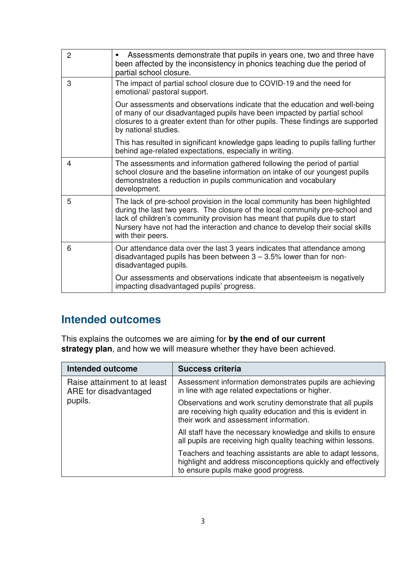| $\overline{2}$ | Assessments demonstrate that pupils in years one, two and three have<br>been affected by the inconsistency in phonics teaching due the period of<br>partial school closure.                                                                                                                                                                      |
|----------------|--------------------------------------------------------------------------------------------------------------------------------------------------------------------------------------------------------------------------------------------------------------------------------------------------------------------------------------------------|
| 3              | The impact of partial school closure due to COVID-19 and the need for<br>emotional/ pastoral support.                                                                                                                                                                                                                                            |
|                | Our assessments and observations indicate that the education and well-being<br>of many of our disadvantaged pupils have been impacted by partial school<br>closures to a greater extent than for other pupils. These findings are supported<br>by national studies.                                                                              |
|                | This has resulted in significant knowledge gaps leading to pupils falling further<br>behind age-related expectations, especially in writing.                                                                                                                                                                                                     |
| 4              | The assessments and information gathered following the period of partial<br>school closure and the baseline information on intake of our youngest pupils<br>demonstrates a reduction in pupils communication and vocabulary<br>development.                                                                                                      |
| 5              | The lack of pre-school provision in the local community has been highlighted<br>during the last two years. The closure of the local community pre-school and<br>lack of children's community provision has meant that pupils due to start<br>Nursery have not had the interaction and chance to develop their social skills<br>with their peers. |
| 6              | Our attendance data over the last 3 years indicates that attendance among<br>disadvantaged pupils has been between $3 - 3.5\%$ lower than for non-<br>disadvantaged pupils.                                                                                                                                                                      |
|                | Our assessments and observations indicate that absenteeism is negatively<br>impacting disadvantaged pupils' progress.                                                                                                                                                                                                                            |

### **Intended outcomes**

This explains the outcomes we are aiming for **by the end of our current strategy plan**, and how we will measure whether they have been achieved.

| <b>Intended outcome</b>                               | <b>Success criteria</b>                                                                                                                                             |
|-------------------------------------------------------|---------------------------------------------------------------------------------------------------------------------------------------------------------------------|
| Raise attainment to at least<br>ARE for disadvantaged | Assessment information demonstrates pupils are achieving<br>in line with age related expectations or higher.                                                        |
| pupils.                                               | Observations and work scrutiny demonstrate that all pupils<br>are receiving high quality education and this is evident in<br>their work and assessment information. |
|                                                       | All staff have the necessary knowledge and skills to ensure<br>all pupils are receiving high quality teaching within lessons.                                       |
|                                                       | Teachers and teaching assistants are able to adapt lessons,<br>highlight and address misconceptions quickly and effectively<br>to ensure pupils make good progress. |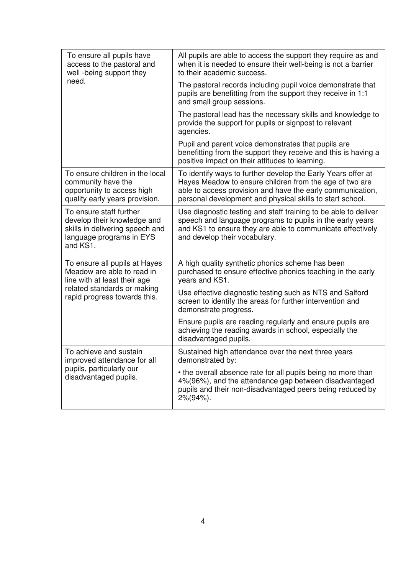| To ensure all pupils have<br>access to the pastoral and<br>well -being support they                                               | All pupils are able to access the support they require as and<br>when it is needed to ensure their well-being is not a barrier<br>to their academic success.                                                                                       |  |
|-----------------------------------------------------------------------------------------------------------------------------------|----------------------------------------------------------------------------------------------------------------------------------------------------------------------------------------------------------------------------------------------------|--|
| need.                                                                                                                             | The pastoral records including pupil voice demonstrate that<br>pupils are benefitting from the support they receive in 1:1<br>and small group sessions.                                                                                            |  |
|                                                                                                                                   | The pastoral lead has the necessary skills and knowledge to<br>provide the support for pupils or signpost to relevant<br>agencies.                                                                                                                 |  |
|                                                                                                                                   | Pupil and parent voice demonstrates that pupils are<br>benefitting from the support they receive and this is having a<br>positive impact on their attitudes to learning.                                                                           |  |
| To ensure children in the local<br>community have the<br>opportunity to access high<br>quality early years provision.             | To identify ways to further develop the Early Years offer at<br>Hayes Meadow to ensure children from the age of two are<br>able to access provision and have the early communication,<br>personal development and physical skills to start school. |  |
| To ensure staff further<br>develop their knowledge and<br>skills in delivering speech and<br>language programs in EYS<br>and KS1. | Use diagnostic testing and staff training to be able to deliver<br>speech and language programs to pupils in the early years<br>and KS1 to ensure they are able to communicate effectively<br>and develop their vocabulary.                        |  |
| To ensure all pupils at Hayes<br>Meadow are able to read in<br>line with at least their age                                       | A high quality synthetic phonics scheme has been<br>purchased to ensure effective phonics teaching in the early<br>years and KS1.                                                                                                                  |  |
| related standards or making<br>rapid progress towards this.                                                                       | Use effective diagnostic testing such as NTS and Salford<br>screen to identify the areas for further intervention and<br>demonstrate progress.                                                                                                     |  |
|                                                                                                                                   | Ensure pupils are reading regularly and ensure pupils are<br>achieving the reading awards in school, especially the<br>disadvantaged pupils.                                                                                                       |  |
| To achieve and sustain<br>improved attendance for all                                                                             | Sustained high attendance over the next three years<br>demonstrated by:                                                                                                                                                                            |  |
| pupils, particularly our<br>disadvantaged pupils.                                                                                 | • the overall absence rate for all pupils being no more than<br>4%(96%), and the attendance gap between disadvantaged<br>pupils and their non-disadvantaged peers being reduced by<br>$2\%/94\%$ ).                                                |  |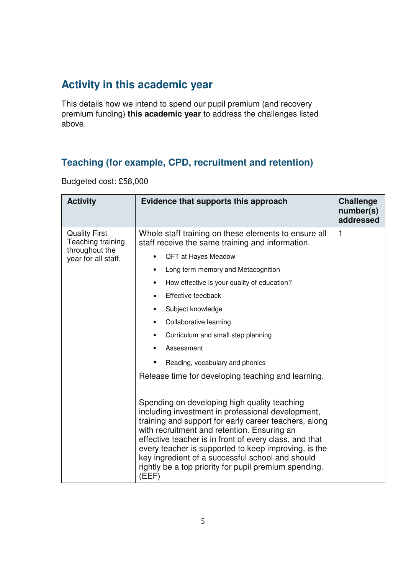### **Activity in this academic year**

This details how we intend to spend our pupil premium (and recovery premium funding) **this academic year** to address the challenges listed above.

### **Teaching (for example, CPD, recruitment and retention)**

Budgeted cost: £58,000

| <b>Activity</b>                                             | Evidence that supports this approach                                                                                                                                                                                                                                                                                                                                                                                                              | <b>Challenge</b><br>number(s)<br>addressed |
|-------------------------------------------------------------|---------------------------------------------------------------------------------------------------------------------------------------------------------------------------------------------------------------------------------------------------------------------------------------------------------------------------------------------------------------------------------------------------------------------------------------------------|--------------------------------------------|
| <b>Quality First</b><br>Teaching training<br>throughout the | Whole staff training on these elements to ensure all<br>staff receive the same training and information.<br>QFT at Hayes Meadow<br>$\bullet$                                                                                                                                                                                                                                                                                                      | 1                                          |
| year for all staff.                                         | Long term memory and Metacognition<br>٠                                                                                                                                                                                                                                                                                                                                                                                                           |                                            |
|                                                             | How effective is your quality of education?<br>٠                                                                                                                                                                                                                                                                                                                                                                                                  |                                            |
|                                                             | Effective feedback<br>$\bullet$                                                                                                                                                                                                                                                                                                                                                                                                                   |                                            |
|                                                             | Subject knowledge<br>٠                                                                                                                                                                                                                                                                                                                                                                                                                            |                                            |
|                                                             | Collaborative learning<br>٠                                                                                                                                                                                                                                                                                                                                                                                                                       |                                            |
|                                                             | Curriculum and small step planning<br>٠                                                                                                                                                                                                                                                                                                                                                                                                           |                                            |
|                                                             | Assessment                                                                                                                                                                                                                                                                                                                                                                                                                                        |                                            |
|                                                             | Reading, vocabulary and phonics                                                                                                                                                                                                                                                                                                                                                                                                                   |                                            |
|                                                             | Release time for developing teaching and learning.                                                                                                                                                                                                                                                                                                                                                                                                |                                            |
|                                                             | Spending on developing high quality teaching<br>including investment in professional development,<br>training and support for early career teachers, along<br>with recruitment and retention. Ensuring an<br>effective teacher is in front of every class, and that<br>every teacher is supported to keep improving, is the<br>key ingredient of a successful school and should<br>rightly be a top priority for pupil premium spending.<br>(EEF) |                                            |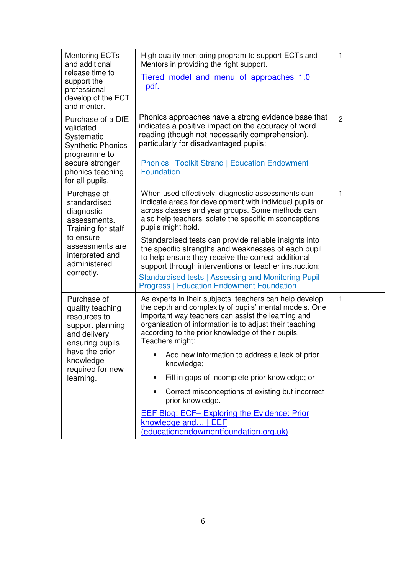| <b>Mentoring ECTs</b><br>and additional<br>release time to<br>support the<br>professional<br>develop of the ECT<br>and mentor.                                         | High quality mentoring program to support ECTs and<br>Mentors in providing the right support.<br><u>Tiered model and menu of approaches 1.0</u><br>pdf.                                                                                                                                                                                                                                                                                                                                                                                                                                                                                       | 1              |
|------------------------------------------------------------------------------------------------------------------------------------------------------------------------|-----------------------------------------------------------------------------------------------------------------------------------------------------------------------------------------------------------------------------------------------------------------------------------------------------------------------------------------------------------------------------------------------------------------------------------------------------------------------------------------------------------------------------------------------------------------------------------------------------------------------------------------------|----------------|
| Purchase of a DfE<br>validated<br>Systematic<br><b>Synthetic Phonics</b><br>programme to<br>secure stronger<br>phonics teaching<br>for all pupils.                     | Phonics approaches have a strong evidence base that<br>indicates a positive impact on the accuracy of word<br>reading (though not necessarily comprehension),<br>particularly for disadvantaged pupils:<br><b>Phonics   Toolkit Strand   Education Endowment</b><br><b>Foundation</b>                                                                                                                                                                                                                                                                                                                                                         | $\overline{2}$ |
| Purchase of<br>standardised<br>diagnostic<br>assessments.<br>Training for staff<br>to ensure<br>assessments are<br>interpreted and<br>administered<br>correctly.       | When used effectively, diagnostic assessments can<br>indicate areas for development with individual pupils or<br>across classes and year groups. Some methods can<br>also help teachers isolate the specific misconceptions<br>pupils might hold.<br>Standardised tests can provide reliable insights into<br>the specific strengths and weaknesses of each pupil<br>to help ensure they receive the correct additional<br>support through interventions or teacher instruction:<br>Standardised tests   Assessing and Monitoring Pupil<br><b>Progress   Education Endowment Foundation</b>                                                   | 1              |
| Purchase of<br>quality teaching<br>resources to<br>support planning<br>and delivery<br>ensuring pupils<br>have the prior<br>knowledge<br>required for new<br>learning. | As experts in their subjects, teachers can help develop<br>the depth and complexity of pupils' mental models. One<br>important way teachers can assist the learning and<br>organisation of information is to adjust their teaching<br>according to the prior knowledge of their pupils.<br>Teachers might:<br>Add new information to address a lack of prior<br>knowledge;<br>Fill in gaps of incomplete prior knowledge; or<br>0<br>Correct misconceptions of existing but incorrect<br>$\bullet$<br>prior knowledge.<br><b>EEF Blog: ECF- Exploring the Evidence: Prior</b><br>knowledge and   EEF<br>(educationendowmentfoundation.org.uk) | $\mathbf{1}$   |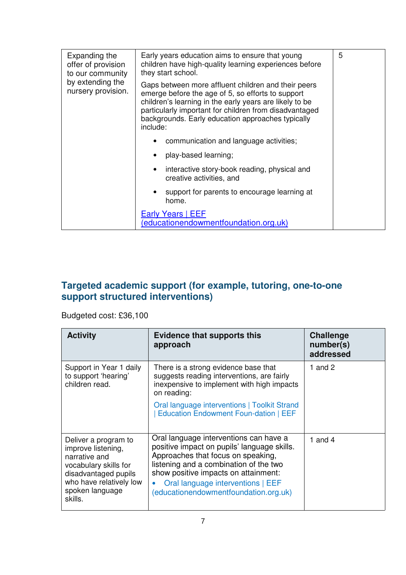| Expanding the<br>offer of provision<br>to our community | Early years education aims to ensure that young<br>children have high-quality learning experiences before<br>they start school.                                                                                                                                                                | 5 |
|---------------------------------------------------------|------------------------------------------------------------------------------------------------------------------------------------------------------------------------------------------------------------------------------------------------------------------------------------------------|---|
| by extending the<br>nursery provision.                  | Gaps between more affluent children and their peers<br>emerge before the age of 5, so efforts to support<br>children's learning in the early years are likely to be<br>particularly important for children from disadvantaged<br>backgrounds. Early education approaches typically<br>include: |   |
|                                                         | communication and language activities;                                                                                                                                                                                                                                                         |   |
|                                                         | play-based learning;                                                                                                                                                                                                                                                                           |   |
|                                                         | interactive story-book reading, physical and<br>$\bullet$<br>creative activities, and                                                                                                                                                                                                          |   |
|                                                         | support for parents to encourage learning at<br>home.                                                                                                                                                                                                                                          |   |
|                                                         | Early Years   EEF<br>(educationendowmentfoundation.org.uk)                                                                                                                                                                                                                                     |   |

#### **Targeted academic support (for example, tutoring, one-to-one support structured interventions)**

Budgeted cost: £36,100

| <b>Activity</b>                                                                                                                                                       | <b>Evidence that supports this</b><br>approach                                                                                                                                                                                                                                                           | <b>Challenge</b><br>number(s)<br>addressed |
|-----------------------------------------------------------------------------------------------------------------------------------------------------------------------|----------------------------------------------------------------------------------------------------------------------------------------------------------------------------------------------------------------------------------------------------------------------------------------------------------|--------------------------------------------|
| Support in Year 1 daily<br>to support 'hearing'<br>children read.                                                                                                     | There is a strong evidence base that<br>suggests reading interventions, are fairly<br>inexpensive to implement with high impacts<br>on reading:                                                                                                                                                          | 1 and $2$                                  |
|                                                                                                                                                                       | Oral language interventions   Toolkit Strand<br>Education Endowment Foun-dation   EEF                                                                                                                                                                                                                    |                                            |
| Deliver a program to<br>improve listening,<br>narrative and<br>vocabulary skills for<br>disadvantaged pupils<br>who have relatively low<br>spoken language<br>skills. | Oral language interventions can have a<br>positive impact on pupils' language skills.<br>Approaches that focus on speaking,<br>listening and a combination of the two<br>show positive impacts on attainment:<br>Oral language interventions   EEF<br>$\bullet$<br>(educationendowmentfoundation.org.uk) | 1 and $4$                                  |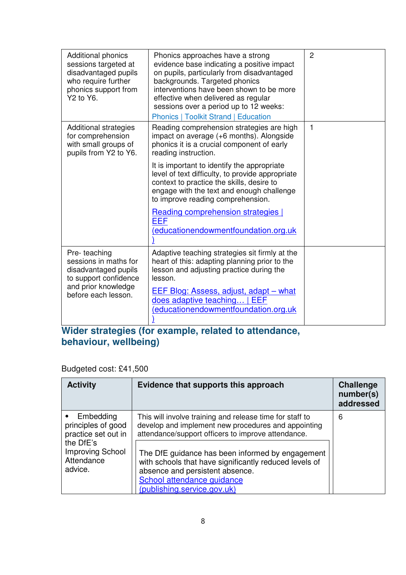| Additional phonics<br>sessions targeted at<br>disadvantaged pupils<br>who require further<br>phonics support from<br>Y2 to Y6. | Phonics approaches have a strong<br>evidence base indicating a positive impact<br>on pupils, particularly from disadvantaged<br>backgrounds. Targeted phonics<br>interventions have been shown to be more<br>effective when delivered as regular<br>sessions over a period up to 12 weeks:<br><b>Phonics   Toolkit Strand   Education</b> | $\overline{2}$ |
|--------------------------------------------------------------------------------------------------------------------------------|-------------------------------------------------------------------------------------------------------------------------------------------------------------------------------------------------------------------------------------------------------------------------------------------------------------------------------------------|----------------|
| Additional strategies<br>for comprehension<br>with small groups of<br>pupils from Y2 to Y6.                                    | Reading comprehension strategies are high<br>impact on average (+6 months). Alongside<br>phonics it is a crucial component of early<br>reading instruction.                                                                                                                                                                               | $\mathbf{1}$   |
|                                                                                                                                | It is important to identify the appropriate<br>level of text difficulty, to provide appropriate<br>context to practice the skills, desire to<br>engage with the text and enough challenge<br>to improve reading comprehension.                                                                                                            |                |
|                                                                                                                                | <b>Reading comprehension strategies</b><br><b>EEF</b><br>educationendowmentfoundation.org.uk                                                                                                                                                                                                                                              |                |
| Pre-teaching<br>sessions in maths for<br>disadvantaged pupils<br>to support confidence                                         | Adaptive teaching strategies sit firmly at the<br>heart of this: adapting planning prior to the<br>lesson and adjusting practice during the<br>lesson.                                                                                                                                                                                    |                |
| and prior knowledge<br>before each lesson.                                                                                     | EEF Blog: Assess, adjust, adapt - what<br>does adaptive teaching   EEF<br>(educationendowmentfoundation.org.uk                                                                                                                                                                                                                            |                |

#### **Wider strategies (for example, related to attendance, behaviour, wellbeing)**

Budgeted cost: £41,500

| <b>Activity</b>                                                                                                    | Evidence that supports this approach                                                                                                                                                                                                                                                                                                                 | <b>Challenge</b><br>number(s)<br>addressed |
|--------------------------------------------------------------------------------------------------------------------|------------------------------------------------------------------------------------------------------------------------------------------------------------------------------------------------------------------------------------------------------------------------------------------------------------------------------------------------------|--------------------------------------------|
| • Embedding<br>principles of good<br>practice set out in<br>the DfE's<br>Improving School<br>Attendance<br>advice. | This will involve training and release time for staff to<br>develop and implement new procedures and appointing<br>attendance/support officers to improve attendance.<br>The DfE guidance has been informed by engagement<br>with schools that have significantly reduced levels of<br>absence and persistent absence.<br>School attendance guidance | 6                                          |
|                                                                                                                    | (publishing.service.gov.uk)                                                                                                                                                                                                                                                                                                                          |                                            |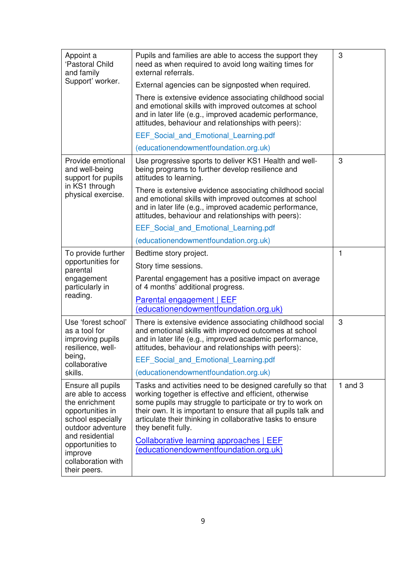| Appoint a<br>'Pastoral Child<br>and family<br>Support' worker.                                                                                                                                                  | Pupils and families are able to access the support they<br>need as when required to avoid long waiting times for<br>external referrals.<br>External agencies can be signposted when required.<br>There is extensive evidence associating childhood social<br>and emotional skills with improved outcomes at school                      | 3         |
|-----------------------------------------------------------------------------------------------------------------------------------------------------------------------------------------------------------------|-----------------------------------------------------------------------------------------------------------------------------------------------------------------------------------------------------------------------------------------------------------------------------------------------------------------------------------------|-----------|
|                                                                                                                                                                                                                 | and in later life (e.g., improved academic performance,<br>attitudes, behaviour and relationships with peers):                                                                                                                                                                                                                          |           |
|                                                                                                                                                                                                                 | <b>EEF Social and Emotional Learning.pdf</b>                                                                                                                                                                                                                                                                                            |           |
|                                                                                                                                                                                                                 | (educationendowmentfoundation.org.uk)                                                                                                                                                                                                                                                                                                   |           |
| Provide emotional<br>and well-being<br>support for pupils<br>in KS1 through<br>physical exercise.                                                                                                               | Use progressive sports to deliver KS1 Health and well-<br>being programs to further develop resilience and<br>attitudes to learning.                                                                                                                                                                                                    | 3         |
|                                                                                                                                                                                                                 | There is extensive evidence associating childhood social<br>and emotional skills with improved outcomes at school<br>and in later life (e.g., improved academic performance,<br>attitudes, behaviour and relationships with peers):                                                                                                     |           |
|                                                                                                                                                                                                                 | EEF Social and Emotional Learning.pdf                                                                                                                                                                                                                                                                                                   |           |
|                                                                                                                                                                                                                 | (educationendowmentfoundation.org.uk)                                                                                                                                                                                                                                                                                                   |           |
| To provide further<br>opportunities for<br>parental<br>engagement<br>particularly in<br>reading.                                                                                                                | Bedtime story project.                                                                                                                                                                                                                                                                                                                  | 1         |
|                                                                                                                                                                                                                 | Story time sessions.                                                                                                                                                                                                                                                                                                                    |           |
|                                                                                                                                                                                                                 | Parental engagement has a positive impact on average<br>of 4 months' additional progress.                                                                                                                                                                                                                                               |           |
|                                                                                                                                                                                                                 | Parental engagement   EEF<br>(educationendowmentfoundation.org.uk)                                                                                                                                                                                                                                                                      |           |
| Use 'forest school'<br>as a tool for<br>improving pupils<br>resilience, well-<br>being,<br>collaborative<br>skills.                                                                                             | There is extensive evidence associating childhood social<br>and emotional skills with improved outcomes at school<br>and in later life (e.g., improved academic performance,<br>attitudes, behaviour and relationships with peers):                                                                                                     | 3         |
|                                                                                                                                                                                                                 | EEF Social and Emotional Learning.pdf                                                                                                                                                                                                                                                                                                   |           |
|                                                                                                                                                                                                                 | (educationendowmentfoundation.org.uk)                                                                                                                                                                                                                                                                                                   |           |
| Ensure all pupils<br>are able to access<br>the enrichment<br>opportunities in<br>school especially<br>outdoor adventure<br>and residential<br>opportunities to<br>improve<br>collaboration with<br>their peers. | Tasks and activities need to be designed carefully so that<br>working together is effective and efficient, otherwise<br>some pupils may struggle to participate or try to work on<br>their own. It is important to ensure that all pupils talk and<br>articulate their thinking in collaborative tasks to ensure<br>they benefit fully. | 1 and $3$ |
|                                                                                                                                                                                                                 | <b>Collaborative learning approaches   EEF</b><br>(educationendowmentfoundation.org.uk)                                                                                                                                                                                                                                                 |           |